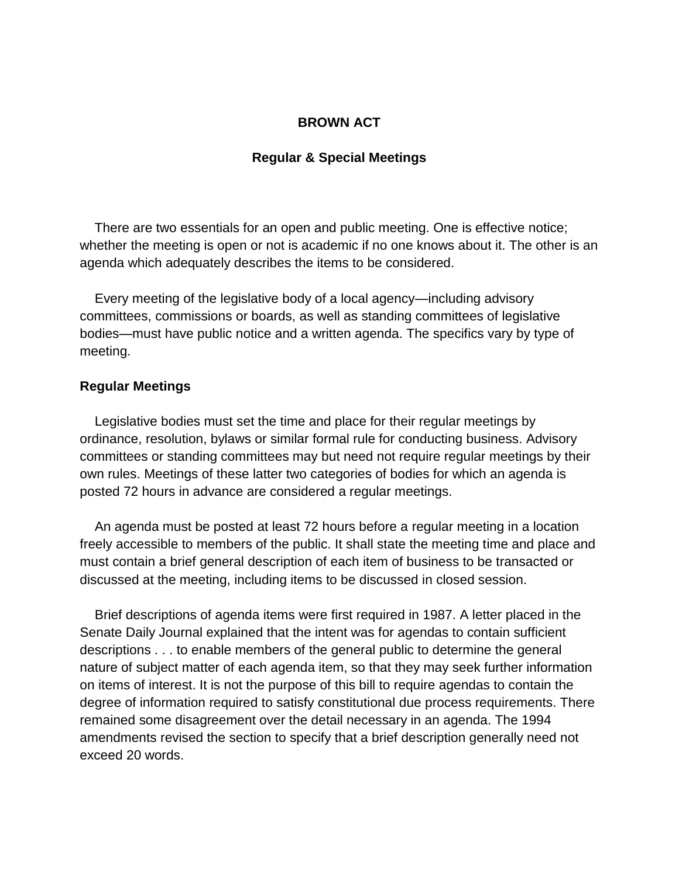## **BROWN ACT**

## **Regular & Special Meetings**

 There are two essentials for an open and public meeting. One is effective notice; whether the meeting is open or not is academic if no one knows about it. The other is an agenda which adequately describes the items to be considered.

 Every meeting of the legislative body of a local agency—including advisory committees, commissions or boards, as well as standing committees of legislative bodies—must have public notice and a written agenda. The specifics vary by type of meeting.

## **Regular Meetings**

 Legislative bodies must set the time and place for their regular meetings by ordinance, resolution, bylaws or similar formal rule for conducting business. Advisory committees or standing committees may but need not require regular meetings by their own rules. Meetings of these latter two categories of bodies for which an agenda is posted 72 hours in advance are considered a regular meetings.

 An agenda must be posted at least 72 hours before a regular meeting in a location freely accessible to members of the public. It shall state the meeting time and place and must contain a brief general description of each item of business to be transacted or discussed at the meeting, including items to be discussed in closed session.

 Brief descriptions of agenda items were first required in 1987. A letter placed in the Senate Daily Journal explained that the intent was for agendas to contain sufficient descriptions . . . to enable members of the general public to determine the general nature of subject matter of each agenda item, so that they may seek further information on items of interest. It is not the purpose of this bill to require agendas to contain the degree of information required to satisfy constitutional due process requirements. There remained some disagreement over the detail necessary in an agenda. The 1994 amendments revised the section to specify that a brief description generally need not exceed 20 words.